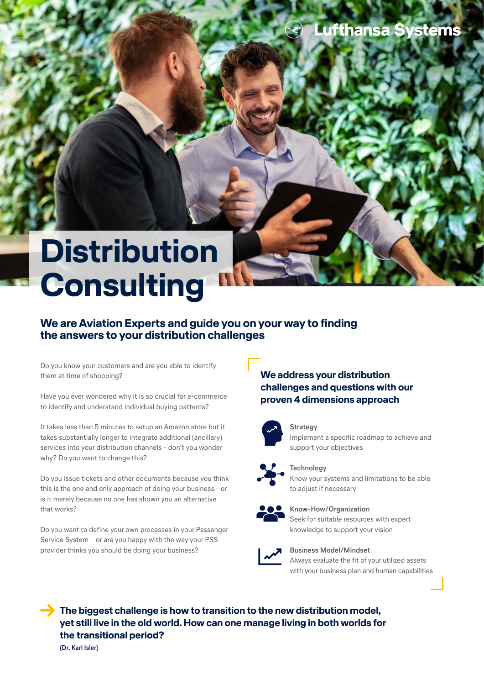# **Distribution Consulting**

# **We are Aviation Experts and guide you on your way to finding the answers to your distribution challenges**

Do you know your customers and are you able to identify them at time of shopping?

Have you ever wondered why it is so crucial for e-commerce to identify and understand individual buying patterns?

It takes less than 5 minutes to setup an Amazon store but it takes substantially longer to integrate additional (ancillary) services into your distribution channels - don't you wonder why? Do you want to change this?

Do you issue tickets and other documents because you think this is the one and only approach of doing your business - or is it merely because no one has shown you an alternative that works?

Do you want to define your own processes in your Passenger Service System – or are you happy with the way your PSS provider thinks you should be doing your business?

## **We address your distribution challenges and questions with our proven 4 dimensions approach**



#### **Strategy** Implement a specific roadmap to achieve and support your objectives



**Technology** Know your systems and limitations to be able to adjust if necessary



### **Know-How/Organization**

Seek for suitable resources with expert knowledge to support your vision



#### **Business Model/Mindset** Always evaluate the fit of your utilized assets with your business plan and human capabilities

**The biggest challenge is how to transition to the new distribution model, yet still live in the old world. How can one manage living in both worlds for the transitional period?**

**(Dr. Karl Isler)**